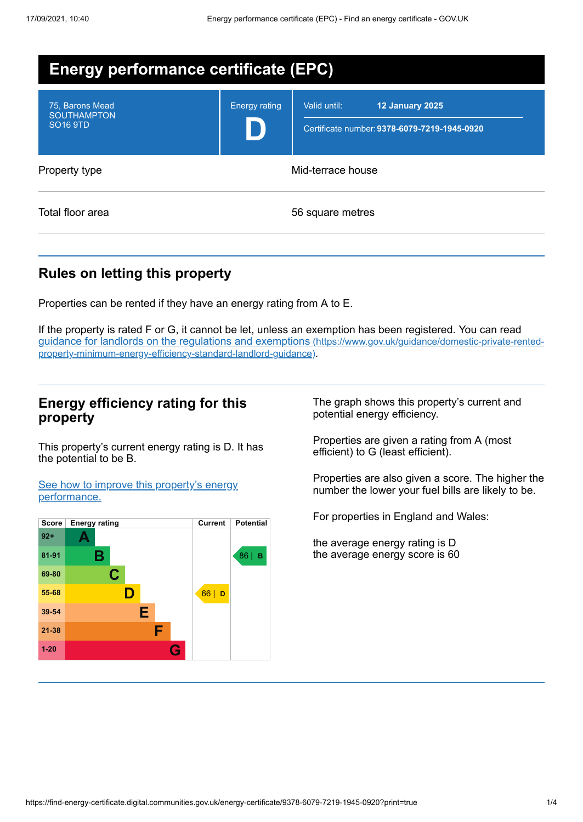| <b>Energy performance certificate (EPC)</b>                         |                      |                                                                                        |
|---------------------------------------------------------------------|----------------------|----------------------------------------------------------------------------------------|
| 75, Barons Mead<br><b>SOUTHAMPTON</b><br><b>SO<sub>16</sub></b> 9TD | <b>Energy rating</b> | Valid until:<br><b>12 January 2025</b><br>Certificate number: 9378-6079-7219-1945-0920 |
| Property type                                                       | Mid-terrace house    |                                                                                        |
| Total floor area                                                    |                      | 56 square metres                                                                       |

# **Rules on letting this property**

Properties can be rented if they have an energy rating from A to E.

If the property is rated F or G, it cannot be let, unless an exemption has been registered. You can read guidance for landlords on the regulations and exemptions (https://www.gov.uk/guidance/domestic-private-rented[property-minimum-energy-efficiency-standard-landlord-guidance\)](https://www.gov.uk/guidance/domestic-private-rented-property-minimum-energy-efficiency-standard-landlord-guidance).

### **Energy efficiency rating for this property**

This property's current energy rating is D. It has the potential to be B.

See how to improve this property's energy [performance.](#page-2-0)



The graph shows this property's current and potential energy efficiency.

Properties are given a rating from A (most efficient) to G (least efficient).

Properties are also given a score. The higher the number the lower your fuel bills are likely to be.

For properties in England and Wales:

the average energy rating is D the average energy score is 60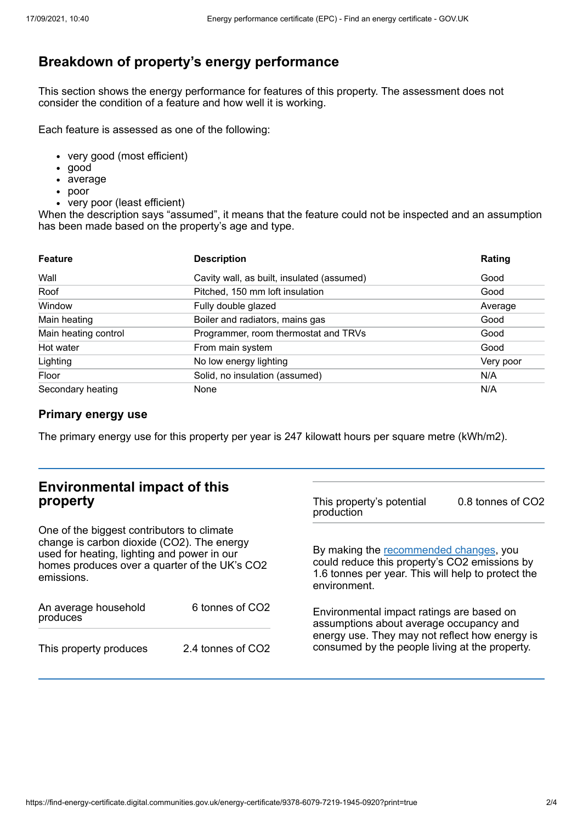# **Breakdown of property's energy performance**

This section shows the energy performance for features of this property. The assessment does not consider the condition of a feature and how well it is working.

Each feature is assessed as one of the following:

- very good (most efficient)
- good
- average
- poor
- very poor (least efficient)

When the description says "assumed", it means that the feature could not be inspected and an assumption has been made based on the property's age and type.

| <b>Feature</b>       | <b>Description</b>                         | Rating    |
|----------------------|--------------------------------------------|-----------|
| Wall                 | Cavity wall, as built, insulated (assumed) | Good      |
| Roof                 | Pitched, 150 mm loft insulation            | Good      |
| Window               | Fully double glazed                        | Average   |
| Main heating         | Boiler and radiators, mains gas            | Good      |
| Main heating control | Programmer, room thermostat and TRVs       | Good      |
| Hot water            | From main system                           | Good      |
| Lighting             | No low energy lighting                     | Very poor |
| Floor                | Solid, no insulation (assumed)             | N/A       |
| Secondary heating    | None                                       | N/A       |

#### **Primary energy use**

The primary energy use for this property per year is 247 kilowatt hours per square metre (kWh/m2).

| <b>Environmental impact of this</b><br>property                                                                                                                                                        |                   | This property's potential<br>production                                                                                                                                                  | 0.8 tonnes of CO2 |  |
|--------------------------------------------------------------------------------------------------------------------------------------------------------------------------------------------------------|-------------------|------------------------------------------------------------------------------------------------------------------------------------------------------------------------------------------|-------------------|--|
| One of the biggest contributors to climate<br>change is carbon dioxide (CO2). The energy<br>used for heating, lighting and power in our<br>homes produces over a quarter of the UK's CO2<br>emissions. |                   | By making the recommended changes, you<br>could reduce this property's CO2 emissions by<br>1.6 tonnes per year. This will help to protect the<br>environment.                            |                   |  |
| An average household<br>produces                                                                                                                                                                       | 6 tonnes of CO2   | Environmental impact ratings are based on<br>assumptions about average occupancy and<br>energy use. They may not reflect how energy is<br>consumed by the people living at the property. |                   |  |
| This property produces                                                                                                                                                                                 | 2.4 tonnes of CO2 |                                                                                                                                                                                          |                   |  |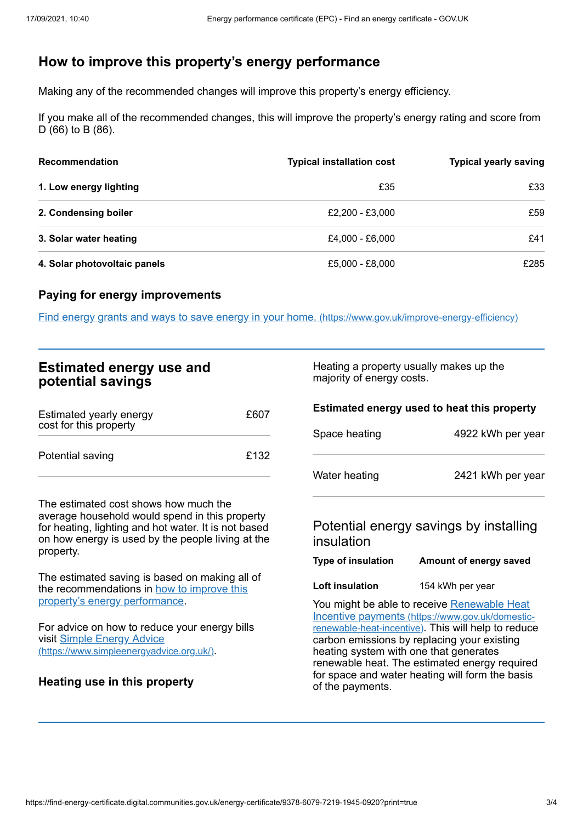# <span id="page-2-0"></span>**How to improve this property's energy performance**

Making any of the recommended changes will improve this property's energy efficiency.

If you make all of the recommended changes, this will improve the property's energy rating and score from D (66) to B (86).

| <b>Recommendation</b>        | <b>Typical installation cost</b> | <b>Typical yearly saving</b> |
|------------------------------|----------------------------------|------------------------------|
| 1. Low energy lighting       | £35                              | £33                          |
| 2. Condensing boiler         | £2,200 - £3,000                  | £59                          |
| 3. Solar water heating       | £4.000 - £6.000                  | £41                          |
| 4. Solar photovoltaic panels | £5,000 - £8,000                  | £285                         |

#### **Paying for energy improvements**

Find energy grants and ways to save energy in your home. [\(https://www.gov.uk/improve-energy-efficiency\)](https://www.gov.uk/improve-energy-efficiency)

| <b>Estimated energy use and</b> |  |  |
|---------------------------------|--|--|
| potential savings               |  |  |

| Estimated yearly energy<br>cost for this property | £607 |
|---------------------------------------------------|------|
| Potential saving                                  | £132 |

The estimated cost shows how much the average household would spend in this property for heating, lighting and hot water. It is not based on how energy is used by the people living at the property.

The estimated saving is based on making all of the [recommendations](#page-2-0) in how to improve this property's energy performance.

For advice on how to reduce your energy bills visit Simple Energy Advice [\(https://www.simpleenergyadvice.org.uk/\)](https://www.simpleenergyadvice.org.uk/).

### **Heating use in this property**

Heating a property usually makes up the majority of energy costs.

#### **Estimated energy used to heat this property**

| Space heating | 4922 kWh per year |  |
|---------------|-------------------|--|
| Water heating | 2421 kWh per year |  |

### Potential energy savings by installing insulation

| <b>Type of insulation</b> | Amount of energy saved |
|---------------------------|------------------------|
|---------------------------|------------------------|

**Loft insulation** 154 kWh per year

You might be able to receive Renewable Heat Incentive payments [\(https://www.gov.uk/domestic](https://www.gov.uk/domestic-renewable-heat-incentive)renewable-heat-incentive). This will help to reduce carbon emissions by replacing your existing heating system with one that generates renewable heat. The estimated energy required for space and water heating will form the basis of the payments.